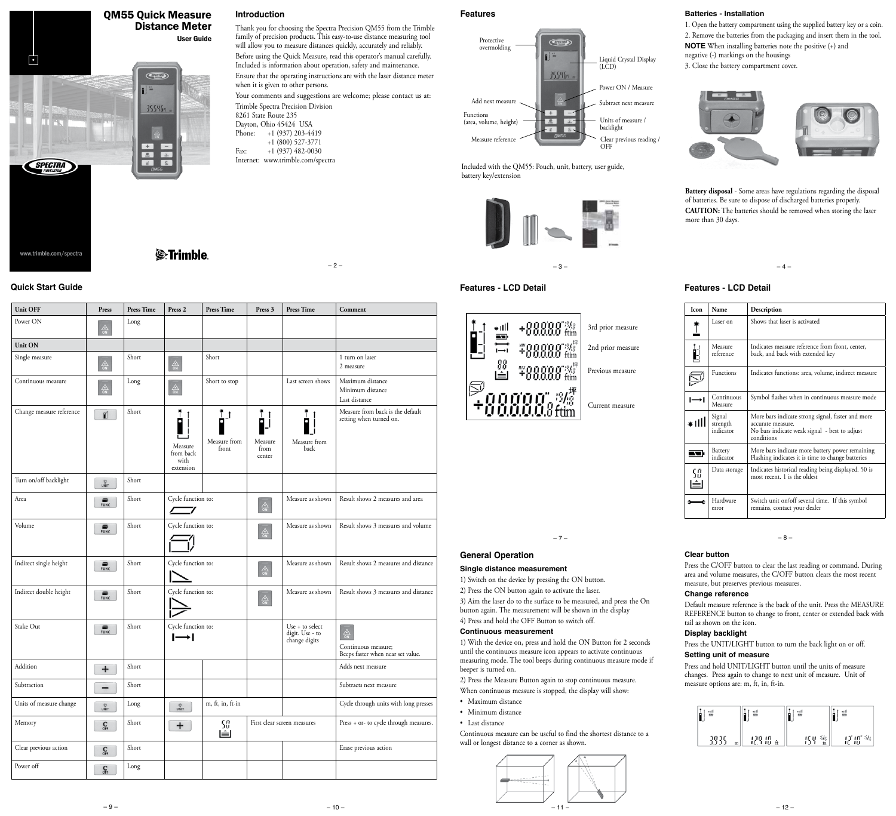

#### **Introduction**

Thank you for choosing the Spectra Precision QM55 from the Trimble family of precision products. This easy-to-use distance measuring tool will allow you to measure distances quickly, accurately and reliably.

Before using the Quick Measure, read this operator's manual carefully. Included is information about operation, safety and maintenance. Ensure that the operating instructions are with the laser distance meter when it is given to other persons.

Your comments and suggestions are welcome; please contact us at: Trimble Spectra Precision Division

- 8261 State Route 235 Dayton, Ohio 45424 USA<br>Phone: +1 (937) 203-44 +1 (937) 203-4419 +1 (800) 527-3771
- Fax: +1 (937) 482-0030 Internet: www.trimble.com/spectra

**Features**



Included with the QM55: Pouch, unit, battery, user guide, battery key/extension





**Batteries - Installation**

1. Open the battery compartment using the supplied battery key or a coin. 2. Remove the batteries from the packaging and insert them in the tool. **NOTE** When installing batteries note the positive (+) and negative (-) markings on the housings 3. Close the battery compartment cover.



**Battery disposal** - Some areas have regulations regarding the disposal of batteries. Be sure to dispose of discharged batteries properly. **CAUTION:** The batteries should be removed when storing the laser more than 30 days.

#### **Features - LCD Detail Quick Start Guide Features - LCD Detail**

| <b>Icon</b> | Name                            | Description                                                                                                                           |  |
|-------------|---------------------------------|---------------------------------------------------------------------------------------------------------------------------------------|--|
|             | Laser on                        | Shows that laser is activated                                                                                                         |  |
|             | Measure<br>reference            | Indicates measure reference from front, center,<br>back, and back with extended key                                                   |  |
|             | <b>Functions</b>                | Indicates functions: area, volume, indirect measure                                                                                   |  |
|             | Continuous<br>Measure           | Symbol flashes when in continuous measure mode                                                                                        |  |
| ⊭ılll       | Signal<br>strength<br>indicator | More bars indicate strong signal, faster and more<br>accurate measure.<br>No bars indicate weak signal - best to adjust<br>conditions |  |
|             | Battery<br>indicator            | More bars indicate more battery power remaining<br>Flashing indicates it is time to change batteries                                  |  |
|             | Data storage                    | Indicates historical reading being displayed. 50 is<br>most recent. 1 is the oldest                                                   |  |
|             | Hardware<br>error               | Switch unit on/off several time. If this symbol<br>remains, contact your dealer                                                       |  |

– 7 – – 8 –

### **Clear button**

Press the C/OFF button to clear the last reading or command. During area and volume measures, the C/OFF button clears the most recent measure, but preserves previous measures.

#### **Change reference**

Default measure reference is the back of the unit. Press the MEASURE REFERENCE button to change to front, center or extended back with tail as shown on the icon.

#### **Display backlight**

Press the UNIT/LIGHT button to turn the back light on or off. **Setting unit of measure**

Press and hold UNIT/LIGHT button until the units of measure changes. Press again to change to next unit of measure. Unit of measure options are: m, ft, in, ft-in.

| 삘    | 밻      | 쏊    | 밻         |
|------|--------|------|-----------|
| ۱,   | Р      |      | ۰         |
| IO I | 129 IO | !C Y | រុវ ព្រះន |
| m    | ft     | in   |           |

*S*-Trimble

| <b>Unit OFF</b>          | Press                       | <b>Press Time</b>          | Press 2                                                                | <b>Press Time</b>                                                   | Press 3                                     | <b>Press Time</b>                                   | Comment                                                                    |
|--------------------------|-----------------------------|----------------------------|------------------------------------------------------------------------|---------------------------------------------------------------------|---------------------------------------------|-----------------------------------------------------|----------------------------------------------------------------------------|
| Power ON                 | 솖                           | Long                       |                                                                        |                                                                     |                                             |                                                     |                                                                            |
| Unit ON                  |                             |                            |                                                                        |                                                                     |                                             |                                                     |                                                                            |
| Single measure           | $\frac{2}{90}$              | Short                      | $\frac{A}{9N}$                                                         | Short                                                               |                                             |                                                     | 1 turn on laser<br>2 measure                                               |
| Continuous measure       | $\frac{A}{9N}$              | Long                       | $\bigoplus_{\mathsf{ON}}$                                              | Short to stop                                                       |                                             | Last screen shows                                   | Maximum distance<br>Minimum distance<br>Last distance                      |
| Change measure reference | ĩÍ.                         | Short                      | Measure<br>from back<br>with<br>extension                              | $\mathbf{I}^{\dagger}$<br>Measure from<br>front                     | $\blacksquare$<br>Measure<br>from<br>center | Measure from<br>back                                | Measure from back is the default<br>setting when turned on.                |
| Turn on/off backlight    | <b>VAIT</b>                 | Short                      |                                                                        |                                                                     |                                             |                                                     |                                                                            |
| Area                     | $\overline{\mathbf{m}}$     | Short                      | Cycle function to:                                                     |                                                                     | $\frac{2}{9N}$                              | Measure as shown                                    | Result shows 2 measures and area                                           |
| Volume                   | $\sum_{\text{FUNC}}$        | Short                      | Cycle function to:                                                     |                                                                     | $\frac{2}{90}$                              | Measure as shown                                    | Result shows 3 measures and volume                                         |
| Indirect single height   |                             | Short                      | Cycle function to:                                                     |                                                                     | $\frac{\triangle}{\Omega N}$                | Measure as shown                                    | Result shows 2 measures and distance                                       |
| Indirect double height   | $\sum_{\text{FUNC}}$        | Short                      | Cycle function to:                                                     |                                                                     | $\frac{\triangle}{\Omega N}$                | Measure as shown                                    | Result shows 3 measures and distance                                       |
| Stake Out                | $\sum_{\text{FUNC}}$        | Short                      | Cycle function to:<br>$\mapsto$                                        |                                                                     |                                             | Use + to select<br>digit. Use - to<br>change digits | $\frac{A}{on}$<br>Continuous measure;<br>Beeps faster when near set value. |
| Addition                 | $\pmb{+}$                   | Short                      |                                                                        |                                                                     |                                             |                                                     | Adds next measure                                                          |
| Subtraction              |                             | Short                      |                                                                        |                                                                     |                                             |                                                     | Subtracts next measure                                                     |
| Units of measure change  | 心<br>UNIT                   | $\mathop{\hbox{\rm Long}}$ | $\begin{array}{ccc} & \bullet & \bullet & \bullet \end{array}$<br>UNIT | $\mathsf{m},\mathsf{ft},\mathsf{in},\mathsf{ft}\text{-}\mathsf{in}$ |                                             |                                                     | Cycle through units with long presses                                      |
| Memory                   | $\mathbf{C}_{\text{OFF}}$   | Short                      | $\overline{+}$                                                         | 50<br>囼                                                             |                                             | First clear screen measures                         | Press + or- to cycle through measures.                                     |
| Clear previous action    | $\mathbf{C}_{\mathsf{off}}$ | Short                      |                                                                        |                                                                     |                                             |                                                     | Erase previous action                                                      |
| Power off                | $\mathbf{C}_{\text{off}}$   | Long                       |                                                                        |                                                                     |                                             |                                                     |                                                                            |
|                          |                             |                            |                                                                        |                                                                     |                                             |                                                     |                                                                            |

# **General Operation**

#### **Single distance measurement**

1) Switch on the device by pressing the ON button. 2) Press the ON button again to activate the laser. 3) Aim the laser do to the surface to be measured, and press the On button again. The measurement will be shown in the display 4) Press and hold the OFF Button to switch off.

#### **Continuous measurement**

1) With the device on, press and hold the ON Button for 2 seconds until the continuous measure icon appears to activate continuous measuring mode. The tool beeps during continuous measure mode if beeper is turned on.

2) Press the Measure Button again to stop continuous measure. When continuous measure is stopped, the display will show:

- Maximum distance
- Minimum distance
- Last distance

Continuous measure can be useful to find the shortest distance to a wall or longest distance to a corner as shown.